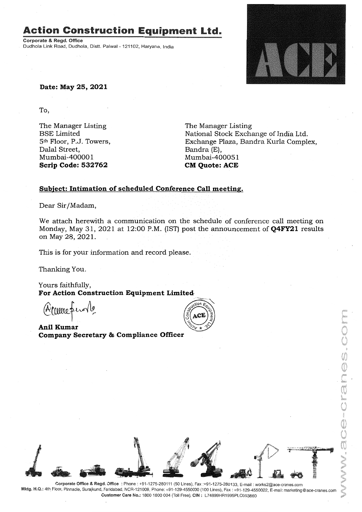# **Action Construction Equipment Ltd.**

Corporate & Regd. Office Dudhola Link Road, Dudhola, Distt. Palwal - 121102, Haryana, India



**Date: May 25, 2021**

To,

The Manager Listing BSE Limited 5th Floor, P.J. Towers, Dalal Street, Mumbai-40000 1 **Scrip Code: 532762**

The Manager Listing National Stock Exchange of India Ltd. Exchange Plaza, Bandra Kurla Complex, Bandra (E), Mumbai-400051 **CM Quote: ACE**

### **Subject: Intimation of scheduled Conference Call meeting.**

Dear Sir/Madam,

We attach herewith a communication on the schedule of conference call meeting on Monday, May 31, 2021 at 12:00 P.M. (IST) post the announcement of **Q4FY21** results on May 28, 2021.

This is for your information and record please.

Thanking You.

Yours faithfully, For Action Construction Equipment Limited

(Arcureprove

**Ani! Kumar Company Secretary & Compliance Officer**